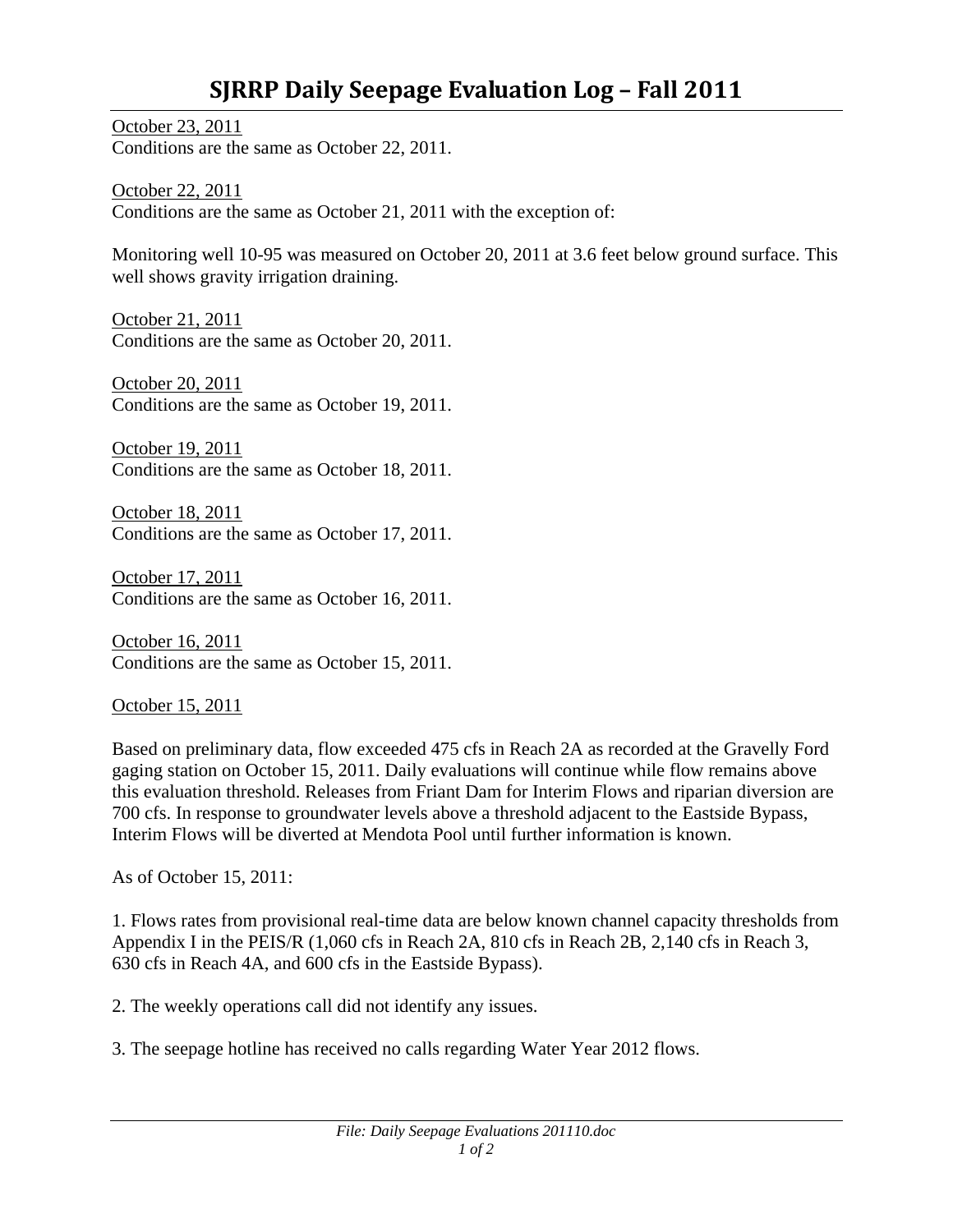October 23, 2011 Conditions are the same as October 22, 2011.

October 22, 2011 Conditions are the same as October 21, 2011 with the exception of:

Monitoring well 10-95 was measured on October 20, 2011 at 3.6 feet below ground surface. This well shows gravity irrigation draining.

October 21, 2011 Conditions are the same as October 20, 2011.

October 20, 2011 Conditions are the same as October 19, 2011.

October 19, 2011 Conditions are the same as October 18, 2011.

October 18, 2011 Conditions are the same as October 17, 2011.

October 17, 2011 Conditions are the same as October 16, 2011.

October 16, 2011 Conditions are the same as October 15, 2011.

October 15, 2011

Based on preliminary data, flow exceeded 475 cfs in Reach 2A as recorded at the Gravelly Ford gaging station on October 15, 2011. Daily evaluations will continue while flow remains above this evaluation threshold. Releases from Friant Dam for Interim Flows and riparian diversion are 700 cfs. In response to groundwater levels above a threshold adjacent to the Eastside Bypass, Interim Flows will be diverted at Mendota Pool until further information is known.

As of October 15, 2011:

1. Flows rates from provisional real-time data are below known channel capacity thresholds from Appendix I in the PEIS/R (1,060 cfs in Reach 2A, 810 cfs in Reach 2B, 2,140 cfs in Reach 3, 630 cfs in Reach 4A, and 600 cfs in the Eastside Bypass).

2. The weekly operations call did not identify any issues.

3. The seepage hotline has received no calls regarding Water Year 2012 flows.